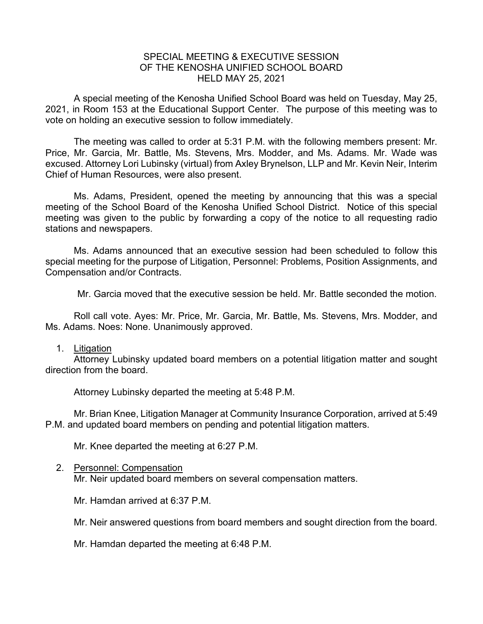## SPECIAL MEETING & EXECUTIVE SESSION OF THE KENOSHA UNIFIED SCHOOL BOARD HELD MAY 25, 2021

A special meeting of the Kenosha Unified School Board was held on Tuesday, May 25, 2021, in Room 153 at the Educational Support Center. The purpose of this meeting was to vote on holding an executive session to follow immediately.

The meeting was called to order at 5:31 P.M. with the following members present: Mr. Price, Mr. Garcia, Mr. Battle, Ms. Stevens, Mrs. Modder, and Ms. Adams. Mr. Wade was excused. Attorney Lori Lubinsky (virtual) from Axley Brynelson, LLP and Mr. Kevin Neir, Interim Chief of Human Resources, were also present.

Ms. Adams, President, opened the meeting by announcing that this was a special meeting of the School Board of the Kenosha Unified School District. Notice of this special meeting was given to the public by forwarding a copy of the notice to all requesting radio stations and newspapers.

Ms. Adams announced that an executive session had been scheduled to follow this special meeting for the purpose of Litigation, Personnel: Problems, Position Assignments, and Compensation and/or Contracts.

Mr. Garcia moved that the executive session be held. Mr. Battle seconded the motion.

Roll call vote. Ayes: Mr. Price, Mr. Garcia, Mr. Battle, Ms. Stevens, Mrs. Modder, and Ms. Adams. Noes: None. Unanimously approved.

## 1. Litigation

Attorney Lubinsky updated board members on a potential litigation matter and sought direction from the board.

Attorney Lubinsky departed the meeting at 5:48 P.M.

Mr. Brian Knee, Litigation Manager at Community Insurance Corporation, arrived at 5:49 P.M. and updated board members on pending and potential litigation matters.

Mr. Knee departed the meeting at 6:27 P.M.

## 2. Personnel: Compensation

Mr. Neir updated board members on several compensation matters.

Mr. Hamdan arrived at 6:37 P.M.

Mr. Neir answered questions from board members and sought direction from the board.

Mr. Hamdan departed the meeting at 6:48 P.M.